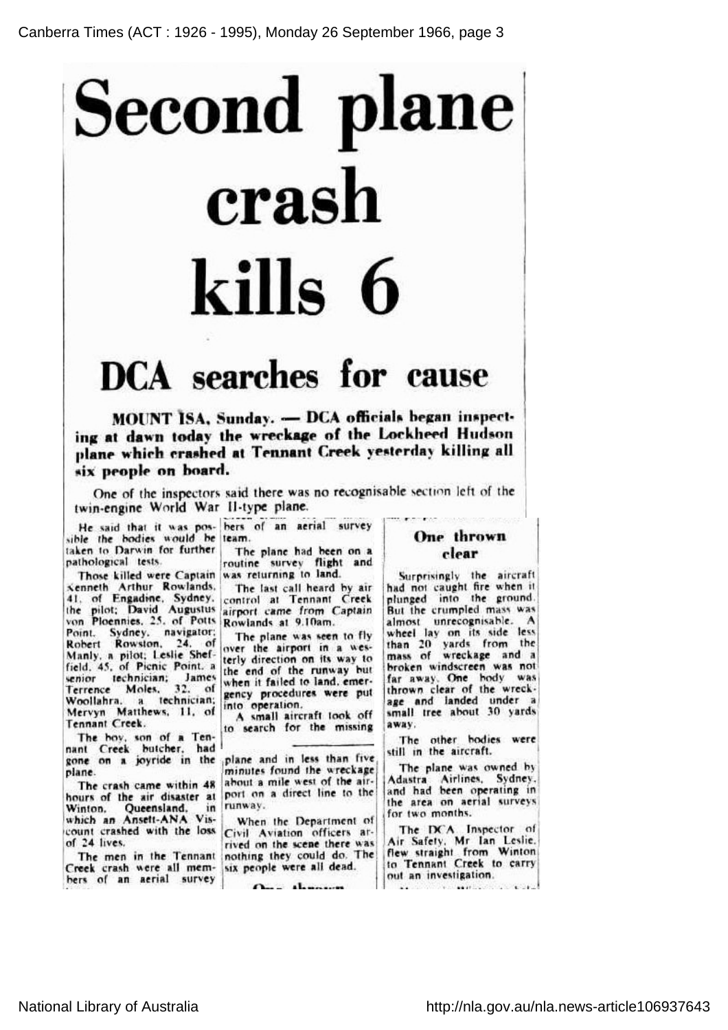## Second plane crash kills 6

## DCA searches for cause

MOUNT ISA, Sunday. - DCA officials began inspecting at dawn today the wreckage of the Lockheed Hudson plane which crashed at Tennant Creek yesterday killing all six people on board.

One of the inspectors said there was no recognisable section left of the twin-engine World War II-type plane.

sible the bodies would be team. taken to Darwin for further pathological tests.

Those killed were Captain was returning to land Kenneth Arthur Rowlands, 41, of Engadine, Sydney the pilot; David Augustus airport came from<br>von Ploennies, 25, of Potts Rowlands at 9.10am Point, Sydney, navigator Robert Rowston, 24, of Manly, <sup>a</sup> pilot; Leslie Shef-field, 45, of Picnic Point, <sup>a</sup> senior technician; Jam Terrence Moles, 32, of Terrence Moles, 32, of<br>Woollahra, a technician; Mervyn Matthews, 11, of Tennant Creek.

The boy, son of <sup>a</sup> Tennant Creek butcher, had gone on <sup>a</sup> joyride in the plane and in less than five plane.

The crash came within 48 hours of the air disaster at Winton, Queensland, in which an Ansett-ANA Vis count crashed with the loss of 24 lives.

The men in the Tennar Creek crash were all members of an aerial survey

He said that it was pos- bers of an aerial surve

The plane had been on <sup>a</sup> routine survey flight and

The last call heard by air control at Tennant Creek airport came from Captain

The plane was seen to fly over the airport in <sup>a</sup> westerly direction on its way to the end of the runway but when it failed to land, emergency procedures were put into operation.

A small aircraft took off to search for the missing

minutes found the wreckage about <sup>a</sup> mile west of the airport on a direct line to the runway.

When the Department of Civil Aviation officers arrived on the scene there was nothing they could do. The six people were all dead.

 $0 - 1$ 

## One thrown clear

Surprisingly the aircraft had not caught fire when it plunged into the ground. But the crumpled mass was almost unrecognisable. A wheel lay on its side less than 20 yards from the mass of wreckage and <sup>a</sup> broken windscreen was not far away. One body was thrown clear of the wreckage and landed under <sup>a</sup> small tree about 30 yards away.

The other bodies were still in the aircraft.

The plane was owned by Adastra Airlines, Sydney, and had been operating in the area on aerial surveys for two months.

The DCA Inspector of Air Safety, Mr Ian Leslie, flew straight from Winto to Tennant Creek to carry out an investigation.**Committee Committee Committee**